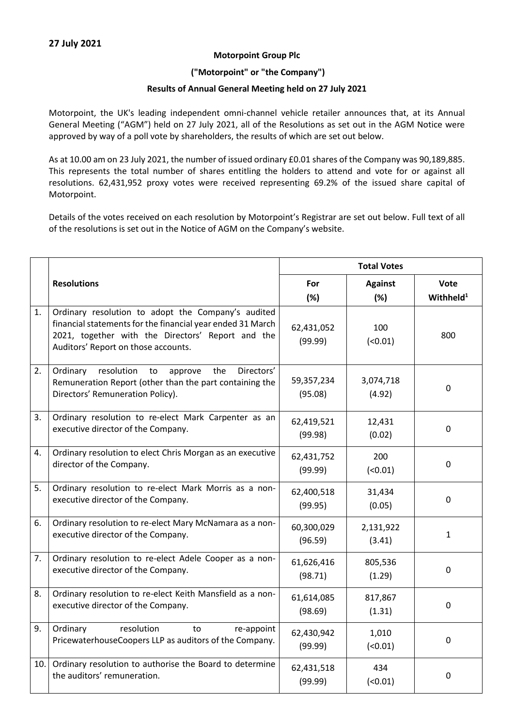# **Motorpoint Group Plc**

## **("Motorpoint" or "the Company")**

## **Results of Annual General Meeting held on 27 July 2021**

Motorpoint, the UK's leading independent omni-channel vehicle retailer announces that, at its Annual General Meeting ("AGM") held on 27 July 2021, all of the Resolutions as set out in the AGM Notice were approved by way of a poll vote by shareholders, the results of which are set out below.

As at 10.00 am on 23 July 2021, the number of issued ordinary £0.01 shares of the Company was 90,189,885. This represents the total number of shares entitling the holders to attend and vote for or against all resolutions. 62,431,952 proxy votes were received representing 69.2% of the issued share capital of Motorpoint.

Details of the votes received on each resolution by Motorpoint's Registrar are set out below. Full text of all of the resolutions is set out in the Notice of AGM on the Company's website.

|     |                                                                                                                                                                                                              | <b>Total Votes</b>    |                       |                               |
|-----|--------------------------------------------------------------------------------------------------------------------------------------------------------------------------------------------------------------|-----------------------|-----------------------|-------------------------------|
|     | <b>Resolutions</b>                                                                                                                                                                                           | For<br>(%)            | <b>Against</b><br>(%) | Vote<br>Withheld <sup>1</sup> |
| 1.  | Ordinary resolution to adopt the Company's audited<br>financial statements for the financial year ended 31 March<br>2021, together with the Directors' Report and the<br>Auditors' Report on those accounts. | 62,431,052<br>(99.99) | 100<br>(0.01)         | 800                           |
| 2.  | Ordinary<br>resolution<br>Directors'<br>to<br>approve<br>the<br>Remuneration Report (other than the part containing the<br>Directors' Remuneration Policy).                                                  | 59,357,234<br>(95.08) | 3,074,718<br>(4.92)   | 0                             |
| 3.  | Ordinary resolution to re-elect Mark Carpenter as an<br>executive director of the Company.                                                                                                                   | 62,419,521<br>(99.98) | 12,431<br>(0.02)      | 0                             |
| 4.  | Ordinary resolution to elect Chris Morgan as an executive<br>director of the Company.                                                                                                                        | 62,431,752<br>(99.99) | 200<br>(0.01)         | 0                             |
| 5.  | Ordinary resolution to re-elect Mark Morris as a non-<br>executive director of the Company.                                                                                                                  | 62,400,518<br>(99.95) | 31,434<br>(0.05)      | 0                             |
| 6.  | Ordinary resolution to re-elect Mary McNamara as a non-<br>executive director of the Company.                                                                                                                | 60,300,029<br>(96.59) | 2,131,922<br>(3.41)   | 1                             |
| 7.  | Ordinary resolution to re-elect Adele Cooper as a non-<br>executive director of the Company.                                                                                                                 | 61,626,416<br>(98.71) | 805,536<br>(1.29)     | 0                             |
| 8.  | Ordinary resolution to re-elect Keith Mansfield as a non-<br>executive director of the Company.                                                                                                              | 61,614,085<br>(98.69) | 817,867<br>(1.31)     | 0                             |
| 9.  | resolution<br>Ordinary<br>re-appoint<br>to<br>PricewaterhouseCoopers LLP as auditors of the Company.                                                                                                         | 62,430,942<br>(99.99) | 1,010<br>(0.01)       | 0                             |
| 10. | Ordinary resolution to authorise the Board to determine<br>the auditors' remuneration.                                                                                                                       | 62,431,518<br>(99.99) | 434<br>(0.01)         | 0                             |